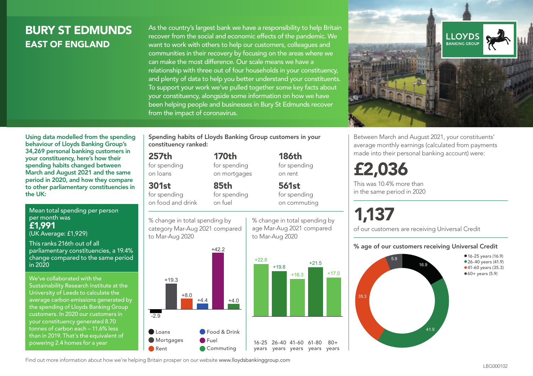## BURY ST EDMUNDS EAST OF ENGLAND

As the country's largest bank we have a responsibility to help Britain recover from the social and economic effects of the pandemic. We want to work with others to help our customers, colleagues and communities in their recovery by focusing on the areas where we can make the most difference. Our scale means we have a relationship with three out of four households in your constituency, and plenty of data to help you better understand your constituents. To support your work we've pulled together some key facts about your constituency, alongside some information on how we have been helping people and businesses in Bury St Edmunds recover from the impact of coronavirus.



Between March and August 2021, your constituents' average monthly earnings (calculated from payments made into their personal banking account) were:

## £2,036

This was 10.4% more than in the same period in 2020

# 1,137

of our customers are receiving Universal Credit

#### % age of our customers receiving Universal Credit



Using data modelled from the spending behaviour of Lloyds Banking Group's 34,269 personal banking customers in your constituency, here's how their spending habits changed between March and August 2021 and the same period in 2020, and how they compare to other parliamentary constituencies in the UK:

Mean total spending per person per month was £1,991 (UK Average: £1,929)

This ranks 216th out of all parliamentary constituencies, a 19.4% change compared to the same period in 2020

We've collaborated with the Sustainability Research Institute at the University of Leeds to calculate the average carbon emissions generated by the spending of Lloyds Banking Group customers. In 2020 our customers in your constituency generated 8.70 tonnes of carbon each – 11.6% less than in 2019. That's the equivalent of powering 2.4 homes for a year

Spending habits of Lloyds Banking Group customers in your constituency ranked:

> 170th for spending on mortgages

85th for spending on fuel

#### 257th

for spending on loans

301st

for spending on food and drink

% change in total spending by category Mar-Aug 2021 compared to Mar-Aug 2020



% change in total spending by to Mar-Aug 2020

186th for spending on rent

561st for spending on commuting

+16.3

+21.5

 $+17.0$ 





Find out more information about how we're helping Britain prosper on our website www.lloydsbankinggroup.com